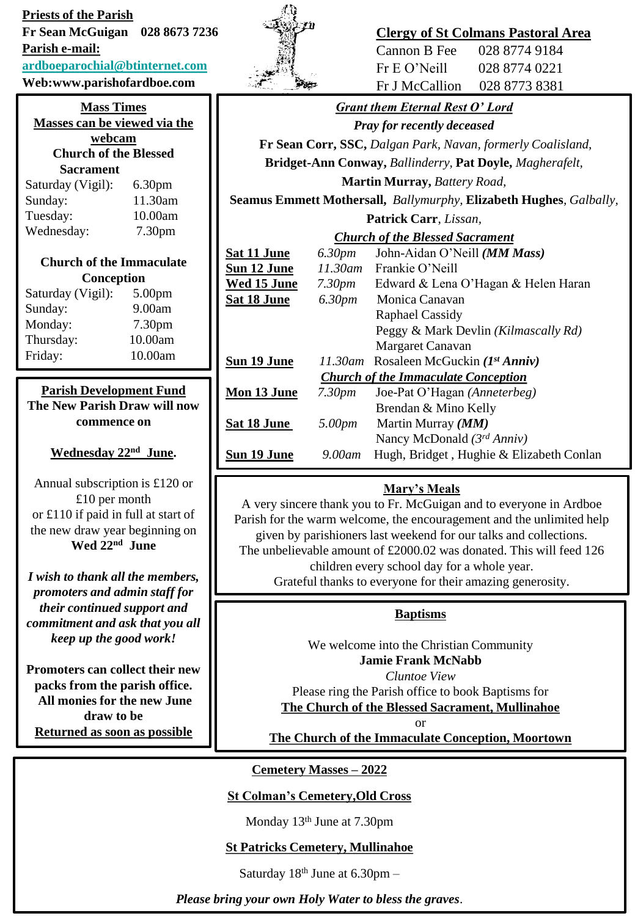**Priests of the Parish Fr Sean McGuigan 028 8673 7236** 

**Parish e-mail:**

#### **[ardboeparochial@btinternet.com](mailto:ardboeparochial@btinternet.com)**

**Web:www.parishofardboe.com**

#### **Mass Times Masses can be viewed via the webcam**

## **Church of the Blessed Sacrament**

| Saturday (Vigil): | 6.30 <sub>pm</sub> |
|-------------------|--------------------|
| Sunday:           | 11.30am            |
| Tuesday:          | 10.00am            |
| Wednesday:        | 7.30 <sub>pm</sub> |

## **Church of the Immaculate Conception**

| Saturday (Vigil): | 5.00 <sub>pm</sub> |
|-------------------|--------------------|
| Sunday:           | 9.00am             |
| Monday:           | 7.30pm             |
| Thursday:         | 10.00am            |
| Friday:           | 10.00am            |

#### **Parish Development Fund The New Parish Draw will now commence on**

#### **Wednesday 22nd June.**

Annual subscription is £120 or £10 per month or £110 if paid in full at start of the new draw year beginning on **Wed 22nd June**

*I wish to thank all the members, promoters and admin staff for their continued support and commitment and ask that you all keep up the good work!*

**Promoters can collect their new packs from the parish office. All monies for the new June draw to be Returned as soon as possible**



## **Clergy of St Colmans Pastoral Area**

Cannon B Fee 028 8774 9184 Fr E O'Neill 028 8774 0221 Fr J McCallion 028 8773 8381

# *Grant them Eternal Rest O' Lord*

*Pray for recently deceased*

**Fr Sean Corr, SSC,** *Dalgan Park, Navan, formerly Coalisland,*

**Bridget-Ann Conway,** *Ballinderry,* **Pat Doyle,** *Magherafelt,* 

**Martin Murray,** *Battery Road,* 

**Seamus Emmett Mothersall,** *Ballymurphy,* **Elizabeth Hughes***, Galbally,*  **Patrick Carr**, *Lissan,* 

## *Church of the Blessed Sacrament*

| Sat 11 June                                | 6.30pm             | John-Aidan O'Neill (MM Mass)             |  |
|--------------------------------------------|--------------------|------------------------------------------|--|
| Sun 12 June                                | $11.30$ am         | Frankie O'Neill                          |  |
| Wed 15 June                                | 7.30 <sub>pm</sub> | Edward & Lena O'Hagan & Helen Haran      |  |
| <u>Sat 18 June</u>                         | 6.30pm             | Monica Canavan                           |  |
|                                            |                    | <b>Raphael Cassidy</b>                   |  |
|                                            |                    | Peggy & Mark Devlin (Kilmascally Rd)     |  |
|                                            |                    | Margaret Canavan                         |  |
| Sun 19 June                                |                    | 11.30am Rosaleen McGuckin $(Ist Anniv)$  |  |
| <b>Church of the Immaculate Conception</b> |                    |                                          |  |
| <b>Mon 13 June</b>                         | 7.30pm             | Joe-Pat O'Hagan (Anneterbeg)             |  |
|                                            |                    | Brendan & Mino Kelly                     |  |
| Sat 18 June                                | 5.00pm             | Martin Murray ( <i>MM</i> )              |  |
|                                            |                    | Nancy McDonald $(3^{rd} Anniv)$          |  |
| Sun 19 June                                | 9.00am             | Hugh, Bridget, Hughie & Elizabeth Conlan |  |
|                                            |                    |                                          |  |

## **Mary's Meals**

A very sincere thank you to Fr. McGuigan and to everyone in Ardboe Parish for the warm welcome, the encouragement and the unlimited help given by parishioners last weekend for our talks and collections. The unbelievable amount of £2000.02 was donated. This will feed 126 children every school day for a whole year. Grateful thanks to everyone for their amazing generosity.

### **Baptisms**

We welcome into the Christian Community **Jamie Frank McNabb** *Cluntoe View*

Please ring the Parish office to book Baptisms for **The Church of the Blessed Sacrament, Mullinahoe**

or

**The Church of the Immaculate Conception, Moortown**

**Cemetery Masses – 2022**

### **St Colman's Cemetery,Old Cross**

Monday 13th June at 7.30pm

### **St Patricks Cemetery, Mullinahoe**

Saturday  $18<sup>th</sup>$  June at 6.30pm –

*Please bring your own Holy Water to bless the graves*.